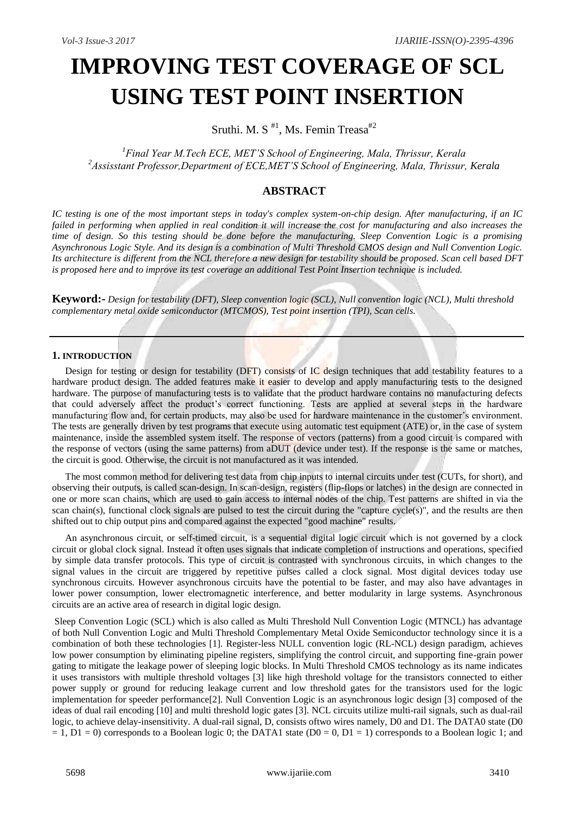# **IMPROVING TEST COVERAGE OF SCL USING TEST POINT INSERTION**

Sruthi. M. S<sup>#1</sup>, Ms. Femin Treasa<sup>#2</sup>

*<sup>1</sup>Final Year M.Tech ECE, MET'S School of Engineering, Mala, Thrissur, Kerala <sup>2</sup>Assisstant Professor,Department of ECE,MET'S School of Engineering, Mala, Thrissur, Kerala*

# **ABSTRACT**

*IC testing is one of the most important steps in today's complex system-on-chip design. After manufacturing, if an IC failed in performing when applied in real condition it will increase the cost for manufacturing and also increases the time of design. So this testing should be done before the manufacturing. Sleep Convention Logic is a promising Asynchronous Logic Style. And its design is a combination of Multi Threshold CMOS design and Null Convention Logic. Its architecture is different from the NCL therefore a new design for testability should be proposed. Scan cell based DFT is proposed here and to improve its test coverage an additional Test Point Insertion technique is included.*

**Keyword:-** *Design for testability (DFT), Sleep convention logic (SCL), Null convention logic (NCL), Multi threshold complementary metal oxide semiconductor (MTCMOS), Test point insertion (TPI), Scan cells.*

# **1. INTRODUCTION**

Design for testing or design for testability (DFT) consists of IC design techniques that add testability features to a hardware product design. The added features make it easier to develop and apply manufacturing tests to the designed hardware. The purpose of manufacturing tests is to validate that the product hardware contains no manufacturing defects that could adversely affect the product's correct functioning. Tests are applied at several steps in the hardware manufacturing flow and, for certain products, may also be used for hardware maintenance in the customer"s environment. The tests are generally driven by test programs that execute using automatic test equipment (ATE) or, in the case of system maintenance, inside the assembled system itself. The response of vectors (patterns) from a good circuit is compared with the response of vectors (using the same patterns) from aDUT (device under test). If the response is the same or matches, the circuit is good. Otherwise, the circuit is not manufactured as it was intended.

The most common method for delivering test data from chip inputs to internal circuits under test (CUTs, for short), and observing their outputs, is called scan-design. In scan-design, registers (flip-flops or latches) in the design are connected in one or more scan chains, which are used to gain access to internal nodes of the chip. Test patterns are shifted in via the scan chain(s), functional clock signals are pulsed to test the circuit during the "capture cycle(s)", and the results are then shifted out to chip output pins and compared against the expected "good machine" results.

An asynchronous circuit, or self-timed circuit, is a sequential digital logic circuit which is not governed by a clock circuit or global clock signal. Instead it often uses signals that indicate completion of instructions and operations, specified by simple data transfer protocols. This type of circuit is contrasted with synchronous circuits, in which changes to the signal values in the circuit are triggered by repetitive pulses called a clock signal. Most digital devices today use synchronous circuits. However asynchronous circuits have the potential to be faster, and may also have advantages in lower power consumption, lower electromagnetic interference, and better modularity in large systems. Asynchronous circuits are an active area of research in digital logic design.

Sleep Convention Logic (SCL) which is also called as Multi Threshold Null Convention Logic (MTNCL) has advantage of both Null Convention Logic and Multi Threshold Complementary Metal Oxide Semiconductor technology since it is a combination of both these technologies [1]. Register-less NULL convention logic (RL-NCL) design paradigm, achieves low power consumption by eliminating pipeline registers, simplifying the control circuit, and supporting fine-grain power gating to mitigate the leakage power of sleeping logic blocks. In Multi Threshold CMOS technology as its name indicates it uses transistors with multiple threshold voltages [3] like high threshold voltage for the transistors connected to either power supply or ground for reducing leakage current and low threshold gates for the transistors used for the logic implementation for speeder performance[2]. Null Convention Logic is an asynchronous logic design [3] composed of the ideas of dual rail encoding [10] and multi threshold logic gates [3]. NCL circuits utilize multi-rail signals, such as dual-rail logic, to achieve delay-insensitivity. A dual-rail signal, D, consists oftwo wires namely, D0 and D1. The DATA0 state (D0  $= 1$ ,  $D1 = 0$ ) corresponds to a Boolean logic 0; the DATA1 state ( $D0 = 0$ ,  $D1 = 1$ ) corresponds to a Boolean logic 1; and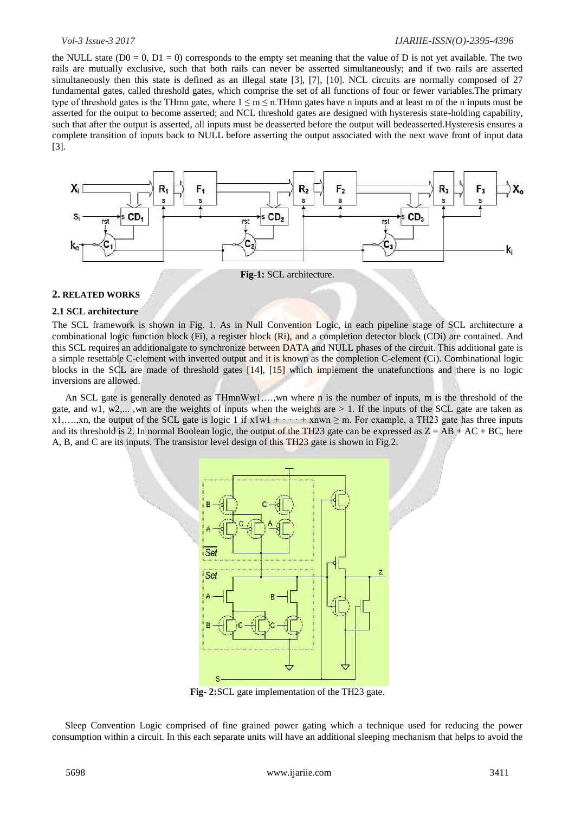#### *Vol-3 Issue-3 2017 IJARIIE-ISSN(O)-2395-4396*

the NULL state  $(D0 = 0, D1 = 0)$  corresponds to the empty set meaning that the value of D is not yet available. The two rails are mutually exclusive, such that both rails can never be asserted simultaneously; and if two rails are asserted simultaneously then this state is defined as an illegal state [3], [7], [10]. NCL circuits are normally composed of 27 fundamental gates, called threshold gates, which comprise the set of all functions of four or fewer variables.The primary type of threshold gates is the THmn gate, where  $1 \le m \le n$ . THmn gates have n inputs and at least m of the n inputs must be asserted for the output to become asserted; and NCL threshold gates are designed with hysteresis state-holding capability, such that after the output is asserted, all inputs must be deasserted before the output will bedeasserted.Hysteresis ensures a complete transition of inputs back to NULL before asserting the output associated with the next wave front of input data [3].



**Fig-1:** SCL architecture.

#### **2. RELATED WORKS**

# **2.1 SCL architecture**

The SCL framework is shown in Fig. 1. As in Null Convention Logic, in each pipeline stage of SCL architecture a combinational logic function block (Fi), a register block (Ri), and a completion detector block (CDi) are contained. And this SCL requires an additionalgate to synchronize between DATA and NULL phases of the circuit. This additional gate is a simple resettable C-element with inverted output and it is known as the completion C-element (Ci). Combinational logic blocks in the SCL are made of threshold gates [14], [15] which implement the unatefunctions and there is no logic inversions are allowed.

An SCL gate is generally denoted as THmnWw1,…,wn where n is the number of inputs, m is the threshold of the gate, and w1, w2,..., wn are the weights of inputs when the weights are  $> 1$ . If the inputs of the SCL gate are taken as x1,….,xn, the output of the SCL gate is logic 1 if  $x1w1 + \cdots + xnew$  m. For example, a TH23 gate has three inputs and its threshold is 2. In normal Boolean logic, the output of the TH23 gate can be expressed as  $Z = AB + AC + BC$ , here A, B, and C are its inputs. The transistor level design of this TH23 gate is shown in Fig.2.



**Fig- 2:**SCL gate implementation of the TH23 gate.

Sleep Convention Logic comprised of fine grained power gating which a technique used for reducing the power consumption within a circuit. In this each separate units will have an additional sleeping mechanism that helps to avoid the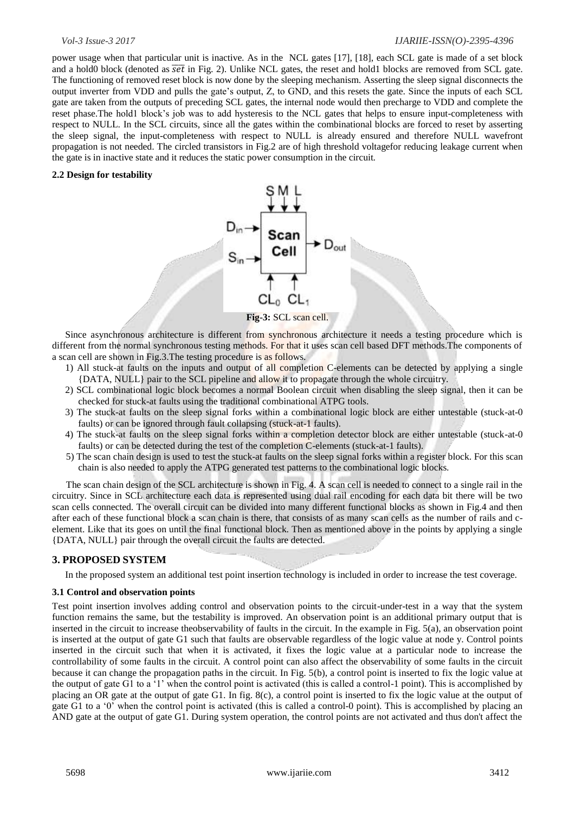# *Vol-3 Issue-3 2017 IJARIIE-ISSN(O)-2395-4396*

power usage when that particular unit is inactive. As in the NCL gates [17], [18], each SCL gate is made of a set block and a hold0 block (denoted as  $\overline{set}$  in Fig. 2). Unlike NCL gates, the reset and hold1 blocks are removed from SCL gate. The functioning of removed reset block is now done by the sleeping mechanism. Asserting the sleep signal disconnects the output inverter from VDD and pulls the gate"s output, Z, to GND, and this resets the gate. Since the inputs of each SCL gate are taken from the outputs of preceding SCL gates, the internal node would then precharge to VDD and complete the reset phase.The hold1 block"s job was to add hysteresis to the NCL gates that helps to ensure input-completeness with respect to NULL. In the SCL circuits, since all the gates within the combinational blocks are forced to reset by asserting the sleep signal, the input-completeness with respect to NULL is already ensured and therefore NULL wavefront propagation is not needed. The circled transistors in Fig.2 are of high threshold voltagefor reducing leakage current when the gate is in inactive state and it reduces the static power consumption in the circuit.

### **2.2 Design for testability**



Since asynchronous architecture is different from synchronous architecture it needs a testing procedure which is different from the normal synchronous testing methods. For that it uses scan cell based DFT methods.The components of a scan cell are shown in Fig.3.The testing procedure is as follows.

- 1) All stuck-at faults on the inputs and output of all completion C-elements can be detected by applying a single {DATA, NULL} pair to the SCL pipeline and allow it to propagate through the whole circuitry.
- 2) SCL combinational logic block becomes a normal Boolean circuit when disabling the sleep signal, then it can be checked for stuck-at faults using the traditional combinational ATPG tools.
- 3) The stuck-at faults on the sleep signal forks within a combinational logic block are either untestable (stuck-at-0 faults) or can be ignored through fault collapsing (stuck-at-1 faults).
- 4) The stuck-at faults on the sleep signal forks within a completion detector block are either untestable (stuck-at-0 faults) or can be detected during the test of the completion C-elements (stuck-at-1 faults).
- 5) The scan chain design is used to test the stuck-at faults on the sleep signal forks within a register block. For this scan chain is also needed to apply the ATPG generated test patterns to the combinational logic blocks.

The scan chain design of the SCL architecture is shown in Fig. 4. A scan cell is needed to connect to a single rail in the circuitry. Since in SCL architecture each data is represented using dual rail encoding for each data bit there will be two scan cells connected. The overall circuit can be divided into many different functional blocks as shown in Fig.4 and then after each of these functional block a scan chain is there, that consists of as many scan cells as the number of rails and celement. Like that its goes on until the final functional block. Then as mentioned above in the points by applying a single {DATA, NULL} pair through the overall circuit the faults are detected.

# **3. PROPOSED SYSTEM**

In the proposed system an additional test point insertion technology is included in order to increase the test coverage.

### **3.1 Control and observation points**

Test point insertion involves adding control and observation points to the circuit-under-test in a way that the system function remains the same, but the testability is improved. An observation point is an additional primary output that is inserted in the circuit to increase theobservability of faults in the circuit. In the example in Fig. 5(a), an observation point is inserted at the output of gate G1 such that faults are observable regardless of the logic value at node y. Control points inserted in the circuit such that when it is activated, it fixes the logic value at a particular node to increase the controllability of some faults in the circuit. A control point can also affect the observability of some faults in the circuit because it can change the propagation paths in the circuit. In Fig. 5(b), a control point is inserted to fix the logic value at the output of gate G1 to a "1" when the control point is activated (this is called a control-1 point). This is accomplished by placing an OR gate at the output of gate G1. In fig. 8(c), a control point is inserted to fix the logic value at the output of gate G1 to a '0' when the control point is activated (this is called a control-0 point). This is accomplished by placing an AND gate at the output of gate G1. During system operation, the control points are not activated and thus don't affect the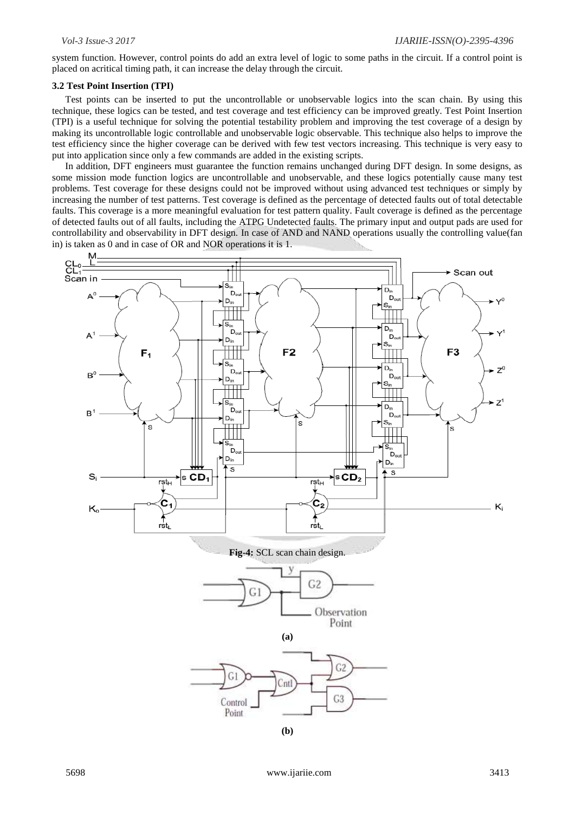system function. However, control points do add an extra level of logic to some paths in the circuit. If a control point is placed on acritical timing path, it can increase the delay through the circuit.

#### **3.2 Test Point Insertion (TPI)**

Test points can be inserted to put the uncontrollable or unobservable logics into the scan chain. By using this technique, these logics can be tested, and test coverage and test efficiency can be improved greatly. Test Point Insertion (TPI) is a useful technique for solving the potential testability problem and improving the test coverage of a design by making its uncontrollable logic controllable and unobservable logic observable. This technique also helps to improve the test efficiency since the higher coverage can be derived with few test vectors increasing. This technique is very easy to put into application since only a few commands are added in the existing scripts.

In addition, DFT engineers must guarantee the function remains unchanged during DFT design. In some designs, as some mission mode function logics are uncontrollable and unobservable, and these logics potentially cause many test problems. Test coverage for these designs could not be improved without using advanced test techniques or simply by increasing the number of test patterns. Test coverage is defined as the percentage of detected faults out of total detectable faults. This coverage is a more meaningful evaluation for test pattern quality. Fault coverage is defined as the percentage of detected faults out of all faults, including the ATPG Undetected faults. The primary input and output pads are used for controllability and observability in DFT design. In case of AND and NAND operations usually the controlling value(fan in) is taken as 0 and in case of OR and NOR operations it is 1.

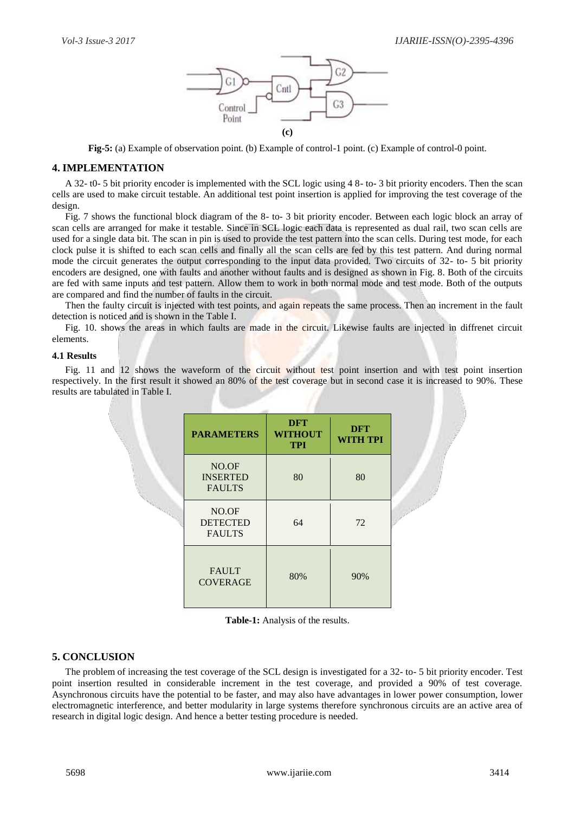

**Fig-5:** (a) Example of observation point. (b) Example of control-1 point. (c) Example of control-0 point.

# **4. IMPLEMENTATION**

A 32- t0- 5 bit priority encoder is implemented with the SCL logic using 4 8- to- 3 bit priority encoders. Then the scan cells are used to make circuit testable. An additional test point insertion is applied for improving the test coverage of the design.

Fig. 7 shows the functional block diagram of the 8- to- 3 bit priority encoder. Between each logic block an array of scan cells are arranged for make it testable. Since in SCL logic each data is represented as dual rail, two scan cells are used for a single data bit. The scan in pin is used to provide the test pattern into the scan cells. During test mode, for each clock pulse it is shifted to each scan cells and finally all the scan cells are fed by this test pattern. And during normal mode the circuit generates the output corresponding to the input data provided. Two circuits of 32- to- 5 bit priority encoders are designed, one with faults and another without faults and is designed as shown in Fig. 8. Both of the circuits are fed with same inputs and test pattern. Allow them to work in both normal mode and test mode. Both of the outputs are compared and find the number of faults in the circuit.

Then the faulty circuit is injected with test points, and again repeats the same process. Then an increment in the fault detection is noticed and is shown in the Table I.

Fig. 10. shows the areas in which faults are made in the circuit. Likewise faults are injected in diffrenet circuit elements.

### **4.1 Results**

Fig. 11 and 12 shows the waveform of the circuit without test point insertion and with test point insertion respectively. In the first result it showed an 80% of the test coverage but in second case it is increased to 90%. These results are tabulated in Table I.

|  | <b>PARAMETERS</b>                         | <b>DFT</b><br><b>WITHOUT</b><br><b>TPI</b> | <b>DFT</b><br><b>WITH TPI</b> |
|--|-------------------------------------------|--------------------------------------------|-------------------------------|
|  | NO.OF<br><b>INSERTED</b><br><b>FAULTS</b> | 80                                         | 80                            |
|  | NO.OF<br><b>DETECTED</b><br><b>FAULTS</b> | 64                                         | 72                            |
|  | <b>FAULT</b><br><b>COVERAGE</b>           | 80%                                        | 90%                           |

**Table-1:** Analysis of the results.

# **5. CONCLUSION**

The problem of increasing the test coverage of the SCL design is investigated for a 32- to- 5 bit priority encoder. Test point insertion resulted in considerable increment in the test coverage, and provided a 90% of test coverage. Asynchronous circuits have the potential to be faster, and may also have advantages in lower power consumption, lower electromagnetic interference, and better modularity in large systems therefore synchronous circuits are an active area of research in digital logic design. And hence a better testing procedure is needed.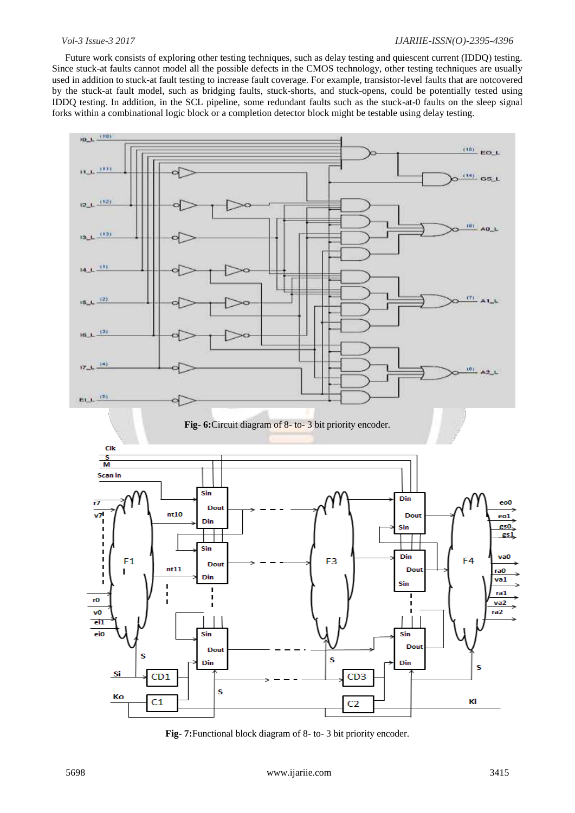### *Vol-3 Issue-3 2017 IJARIIE-ISSN(O)-2395-4396*

Future work consists of exploring other testing techniques, such as delay testing and quiescent current (IDDQ) testing. Since stuck-at faults cannot model all the possible defects in the CMOS technology, other testing techniques are usually used in addition to stuck-at fault testing to increase fault coverage. For example, transistor-level faults that are notcovered by the stuck-at fault model, such as bridging faults, stuck-shorts, and stuck-opens, could be potentially tested using IDDQ testing. In addition, in the SCL pipeline, some redundant faults such as the stuck-at-0 faults on the sleep signal forks within a combinational logic block or a completion detector block might be testable using delay testing.



**Fig- 7:**Functional block diagram of 8- to- 3 bit priority encoder.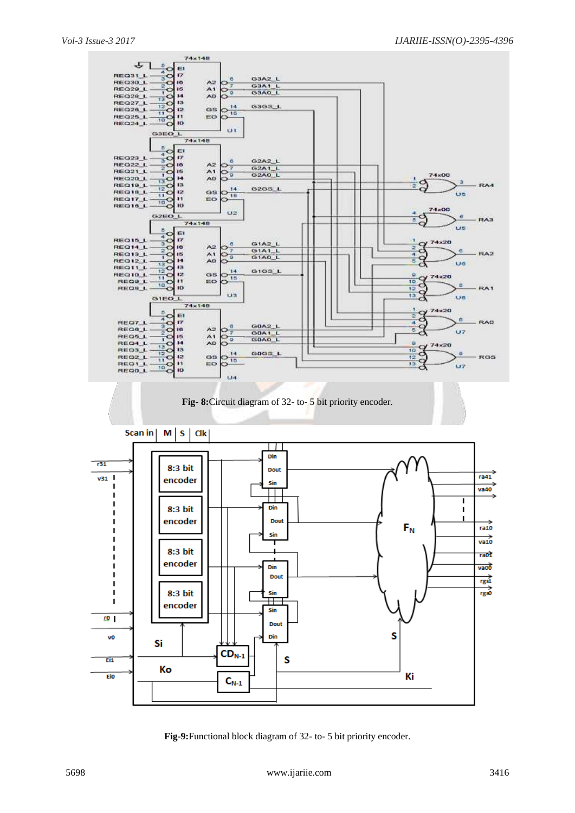

**Fig-9:**Functional block diagram of 32- to- 5 bit priority encoder.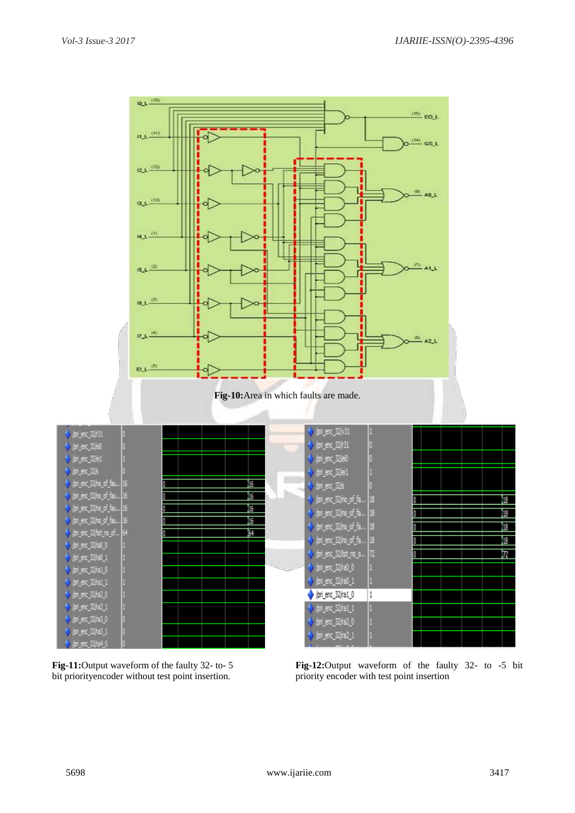

bit priorityencoder without test point insertion. priority encoder with test point insertion

**Fig-11:**Output waveform of the faulty 32- to- 5 **Fig-12:**Output waveform of the faulty 32- to -5 bit